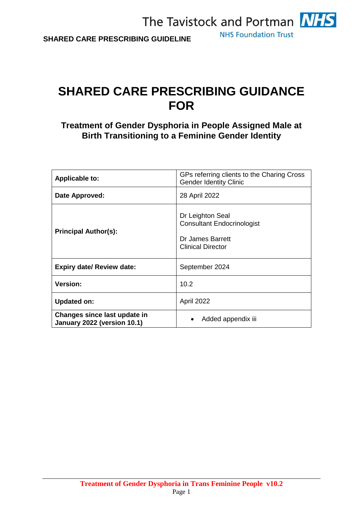**NHS Foundation Trust** 

## **SHARED CARE PRESCRIBING GUIDANCE FOR**

**Treatment of Gender Dysphoria in People Assigned Male at Birth Transitioning to a Feminine Gender Identity**

| <b>Applicable to:</b>                                       | GPs referring clients to the Charing Cross<br><b>Gender Identity Clinic</b>                           |
|-------------------------------------------------------------|-------------------------------------------------------------------------------------------------------|
| Date Approved:                                              | 28 April 2022                                                                                         |
| <b>Principal Author(s):</b>                                 | Dr Leighton Seal<br><b>Consultant Endocrinologist</b><br>Dr James Barrett<br><b>Clinical Director</b> |
| <b>Expiry date/ Review date:</b>                            | September 2024                                                                                        |
| <b>Version:</b>                                             | 10.2                                                                                                  |
| <b>Updated on:</b>                                          | April 2022                                                                                            |
| Changes since last update in<br>January 2022 (version 10.1) | Added appendix iii                                                                                    |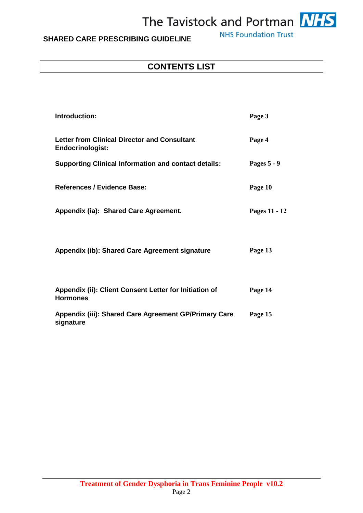

## **SHARED CARE PRESCRIBING GUIDELINE**

**NHS Foundation Trust** 

## **CONTENTS LIST**

| Introduction:                                                                  | Page 3        |
|--------------------------------------------------------------------------------|---------------|
| <b>Letter from Clinical Director and Consultant</b><br><b>Endocrinologist:</b> | Page 4        |
| <b>Supporting Clinical Information and contact details:</b>                    | Pages 5 - 9   |
| References / Evidence Base:                                                    | Page 10       |
| Appendix (ia): Shared Care Agreement.                                          | Pages 11 - 12 |
| Appendix (ib): Shared Care Agreement signature                                 | Page 13       |
| Appendix (ii): Client Consent Letter for Initiation of<br><b>Hormones</b>      | Page 14       |
| Appendix (iii): Shared Care Agreement GP/Primary Care<br>signature             | Page 15       |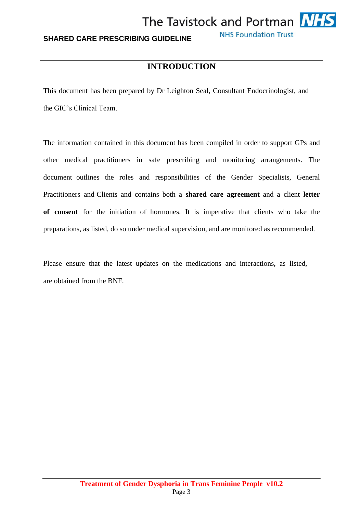

**NHS Foundation Trust** 

## **INTRODUCTION**

This document has been prepared by Dr Leighton Seal, Consultant Endocrinologist, and the GIC's Clinical Team.

The information contained in this document has been compiled in order to support GPs and other medical practitioners in safe prescribing and monitoring arrangements. The document outlines the roles and responsibilities of the Gender Specialists, General Practitioners and Clients and contains both a **shared care agreement** and a client **letter of consent** for the initiation of hormones. It is imperative that clients who take the preparations, as listed, do so under medical supervision, and are monitored as recommended.

Please ensure that the latest updates on the medications and interactions, as listed, are obtained from the BNF.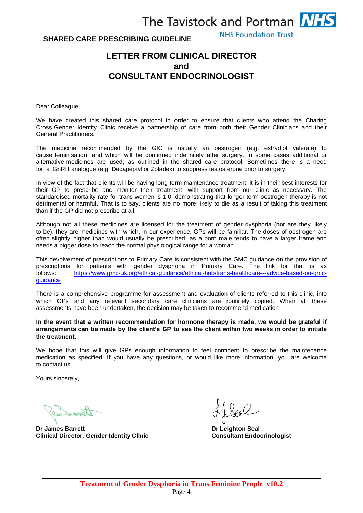#### **SHARED CARE PRESCRIBING GUIDELINE**

**NHS Foundation Trust** 

## **LETTER FROM CLINICAL DIRECTOR and CONSULTANT ENDOCRINOLOGIST**

Dear Colleague

We have created this shared care protocol in order to ensure that clients who attend the Charing Cross Gender Identity Clinic receive a partnership of care from both their Gender Clinicians and their General Practitioners.

The medicine recommended by the GIC is usually an oestrogen (e.g. estradiol valerate) to cause feminisation, and which will be continued indefinitely after surgery. In some cases additional or alternative medicines are used, as outlined in the shared care protocol. Sometimes there is a need for a GnRH analogue (e.g. Decapeptyl or Zoladex) to suppress testosterone prior to surgery.

In view of the fact that clients will be having long-term maintenance treatment, it is in their best interests for their GP to prescribe and monitor their treatment, with support from our clinic as necessary. The standardised mortality rate for trans women is 1.0, demonstrating that longer term oestrogen therapy is not detrimental or harmful. That is to say, clients are no more likely to die as a result of taking this treatment than if the GP did not prescribe at all.

Although not all these medicines are licensed for the treatment of gender dysphoria (nor are they likely to be), they are medicines with which, in our experience, GPs will be familiar. The doses of oestrogen are often slightly higher than would usually be prescribed, as a born male tends to have a larger frame and needs a bigger dose to reach the normal physiological range for a woman.

This devolvement of prescriptions to Primary Care is consistent with the GMC guidance on the provision of prescriptions for patients with gender dysphoria in Primary Care. The link for that is as [follows: https://www.gmc-uk.org/ethical-guidance/ethical-hub/trans-healthcare---advice-based-on-g](https://www.gmc-uk.org/ethical-guidance/ethical-hub/trans-healthcare---advice-based-on-gmc-guidance)mcguidance

There is a comprehensive programme for assessment and evaluation of clients referred to this clinic, into which GPs and any relevant secondary care clinicians are routinely copied. When all these assessments have been undertaken, the decision may be taken to recommend medication.

**In the event that a written recommendation for hormone therapy is made, we would be grateful if arrangements can be made by the client's GP to see the client within two weeks in order to initiate the treatment.**

We hope that this will give GPs enough information to feel confident to prescribe the maintenance medication as specified. If you have any questions, or would like more information, you are welcome to contact us.

Yours sincerely,

**Dr James Barrett Communist Communist Communist Communist Communist Communist Communist Communist Communist Communist Communist Communist Communist Communist Communist Communist Communist Communist Communist Communist Comm Clinical Director, Gender Identity Clinic Consultant Endocrinologist**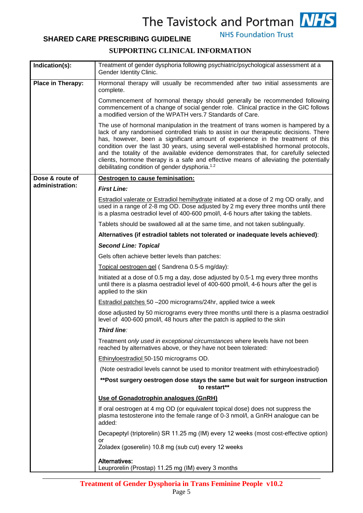## **SHARED CARE PRESCRIBING GUIDELINE**

**NHS Foundation Trust** 



| Indication(s):    | Treatment of gender dysphoria following psychiatric/psychological assessment at a<br>Gender Identity Clinic.                                                                                                                                                                                                                                                                                                                                                                                                                                                                                         |
|-------------------|------------------------------------------------------------------------------------------------------------------------------------------------------------------------------------------------------------------------------------------------------------------------------------------------------------------------------------------------------------------------------------------------------------------------------------------------------------------------------------------------------------------------------------------------------------------------------------------------------|
| Place in Therapy: | Hormonal therapy will usually be recommended after two initial assessments are<br>complete.                                                                                                                                                                                                                                                                                                                                                                                                                                                                                                          |
|                   | Commencement of hormonal therapy should generally be recommended following<br>commencement of a change of social gender role. Clinical practice in the GIC follows<br>a modified version of the WPATH vers.7 Standards of Care.                                                                                                                                                                                                                                                                                                                                                                      |
|                   | The use of hormonal manipulation in the treatment of trans women is hampered by a<br>lack of any randomised controlled trials to assist in our therapeutic decisions. There<br>has, however, been a significant amount of experience in the treatment of this<br>condition over the last 30 years, using several well-established hormonal protocols,<br>and the totality of the available evidence demonstrates that, for carefully selected<br>clients, hormone therapy is a safe and effective means of alleviating the potentially<br>debilitating condition of gender dysphoria. <sup>1.2</sup> |
| Dose & route of   | Oestrogen to cause feminisation:                                                                                                                                                                                                                                                                                                                                                                                                                                                                                                                                                                     |
| administration:   | <b>First Line:</b>                                                                                                                                                                                                                                                                                                                                                                                                                                                                                                                                                                                   |
|                   | <b>Estradiol valerate or Estradiol hemihydrate initiated at a dose of 2 mg OD orally, and</b><br>used in a range of 2-8 mg OD. Dose adjusted by 2 mg every three months until there<br>is a plasma oestradiol level of 400-600 pmol/l, 4-6 hours after taking the tablets.                                                                                                                                                                                                                                                                                                                           |
|                   | Tablets should be swallowed all at the same time, and not taken sublingually.                                                                                                                                                                                                                                                                                                                                                                                                                                                                                                                        |
|                   | Alternatives (if estradiol tablets not tolerated or inadequate levels achieved):                                                                                                                                                                                                                                                                                                                                                                                                                                                                                                                     |
|                   | <b>Second Line: Topical</b>                                                                                                                                                                                                                                                                                                                                                                                                                                                                                                                                                                          |
|                   | Gels often achieve better levels than patches:                                                                                                                                                                                                                                                                                                                                                                                                                                                                                                                                                       |
|                   | Topical oestrogen gel (Sandrena 0.5-5 mg/day):                                                                                                                                                                                                                                                                                                                                                                                                                                                                                                                                                       |
|                   | Initiated at a dose of 0.5 mg a day, dose adjusted by 0.5-1 mg every three months<br>until there is a plasma oestradiol level of 400-600 pmol/l, 4-6 hours after the gel is<br>applied to the skin                                                                                                                                                                                                                                                                                                                                                                                                   |
|                   | Estradiol patches 50 -200 micrograms/24hr, applied twice a week                                                                                                                                                                                                                                                                                                                                                                                                                                                                                                                                      |
|                   | dose adjusted by 50 micrograms every three months until there is a plasma oestradiol<br>level of 400-600 pmol/l, 48 hours after the patch is applied to the skin                                                                                                                                                                                                                                                                                                                                                                                                                                     |
|                   | Third line:                                                                                                                                                                                                                                                                                                                                                                                                                                                                                                                                                                                          |
|                   | Treatment only used in exceptional circumstances where levels have not been<br>reached by alternatives above, or they have not been tolerated:                                                                                                                                                                                                                                                                                                                                                                                                                                                       |
|                   | Ethinyloestradiol 50-150 micrograms OD.                                                                                                                                                                                                                                                                                                                                                                                                                                                                                                                                                              |
|                   | (Note oestradiol levels cannot be used to monitor treatment with ethinyloestradiol)                                                                                                                                                                                                                                                                                                                                                                                                                                                                                                                  |
|                   | ** Post surgery oestrogen dose stays the same but wait for surgeon instruction<br>to restart**                                                                                                                                                                                                                                                                                                                                                                                                                                                                                                       |
|                   | Use of Gonadotrophin analogues (GnRH)                                                                                                                                                                                                                                                                                                                                                                                                                                                                                                                                                                |
|                   | If oral oestrogen at 4 mg OD (or equivalent topical dose) does not suppress the<br>plasma testosterone into the female range of 0-3 nmol/l, a GnRH analogue can be<br>added:                                                                                                                                                                                                                                                                                                                                                                                                                         |
|                   | Decapeptyl (triptorelin) SR 11.25 mg (IM) every 12 weeks (most cost-effective option)                                                                                                                                                                                                                                                                                                                                                                                                                                                                                                                |
|                   | or<br>Zoladex (goserelin) 10.8 mg (sub cut) every 12 weeks                                                                                                                                                                                                                                                                                                                                                                                                                                                                                                                                           |
|                   | <b>Alternatives:</b><br>Leuprorelin (Prostap) 11.25 mg (IM) every 3 months                                                                                                                                                                                                                                                                                                                                                                                                                                                                                                                           |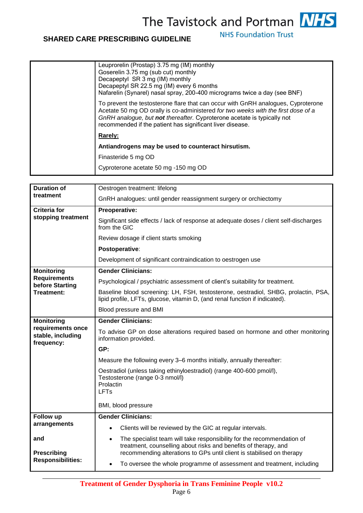**NHS Foundation Trust** 

## **SHARED CARE PRESCRIBING GUIDELINE**

| Leuprorelin (Prostap) 3.75 mg (IM) monthly<br>Goserelin 3.75 mg (sub cut) monthly<br>Decapeptyl SR 3 mg (IM) monthly<br>Decapeptyl SR 22.5 mg (IM) every 6 months<br>Nafarelin (Synarel) nasal spray, 200-400 micrograms twice a day (see BNF)                                                                 |
|----------------------------------------------------------------------------------------------------------------------------------------------------------------------------------------------------------------------------------------------------------------------------------------------------------------|
| To prevent the testosterone flare that can occur with GnRH analogues, Cyproterone<br>Acetate 50 mg OD orally is co-administered for two weeks with the first dose of a<br>GnRH analogue, but not thereafter. Cyproterone acetate is typically not<br>recommended if the patient has significant liver disease. |
| Rarely:                                                                                                                                                                                                                                                                                                        |
| Antiandrogens may be used to counteract hirsutism.                                                                                                                                                                                                                                                             |
| Finasteride 5 mg OD                                                                                                                                                                                                                                                                                            |
| Cyproterone acetate 50 mg -150 mg OD                                                                                                                                                                                                                                                                           |
|                                                                                                                                                                                                                                                                                                                |

| <b>Duration of</b>                                                    | Oestrogen treatment: lifelong                                                                                                                                                                                                   |  |
|-----------------------------------------------------------------------|---------------------------------------------------------------------------------------------------------------------------------------------------------------------------------------------------------------------------------|--|
| treatment                                                             | GnRH analogues: until gender reassignment surgery or orchiectomy                                                                                                                                                                |  |
| <b>Criteria for</b>                                                   | Preoperative:                                                                                                                                                                                                                   |  |
| stopping treatment                                                    | Significant side effects / lack of response at adequate doses / client self-discharges<br>from the GIC                                                                                                                          |  |
|                                                                       | Review dosage if client starts smoking                                                                                                                                                                                          |  |
|                                                                       | Postoperative:                                                                                                                                                                                                                  |  |
|                                                                       | Development of significant contraindication to oestrogen use                                                                                                                                                                    |  |
| <b>Monitoring</b>                                                     | <b>Gender Clinicians:</b>                                                                                                                                                                                                       |  |
| <b>Requirements</b><br>before Starting                                | Psychological / psychiatric assessment of client's suitability for treatment.                                                                                                                                                   |  |
| Treatment:                                                            | Baseline blood screening: LH, FSH, testosterone, oestradiol, SHBG, prolactin, PSA,<br>lipid profile, LFTs, glucose, vitamin D, (and renal function if indicated).                                                               |  |
|                                                                       | Blood pressure and BMI                                                                                                                                                                                                          |  |
| <b>Monitoring</b>                                                     | <b>Gender Clinicians:</b>                                                                                                                                                                                                       |  |
| requirements once<br>stable, including<br>frequency:                  | To advise GP on dose alterations required based on hormone and other monitoring<br>information provided.                                                                                                                        |  |
|                                                                       | GP:                                                                                                                                                                                                                             |  |
|                                                                       | Measure the following every 3-6 months initially, annually thereafter:                                                                                                                                                          |  |
|                                                                       | Oestradiol (unless taking ethinyloestradiol) (range 400-600 pmol/l),<br>Testosterone (range 0-3 nmol/l)<br>Prolactin<br>LFTs                                                                                                    |  |
|                                                                       | BMI, blood pressure                                                                                                                                                                                                             |  |
| Follow up                                                             | <b>Gender Clinicians:</b>                                                                                                                                                                                                       |  |
| arrangements<br>and<br><b>Prescribing</b><br><b>Responsibilities:</b> | Clients will be reviewed by the GIC at regular intervals.                                                                                                                                                                       |  |
|                                                                       | The specialist team will take responsibility for the recommendation of<br>$\bullet$<br>treatment, counselling about risks and benefits of therapy, and<br>recommending alterations to GPs until client is stabilised on therapy |  |
|                                                                       | To oversee the whole programme of assessment and treatment, including                                                                                                                                                           |  |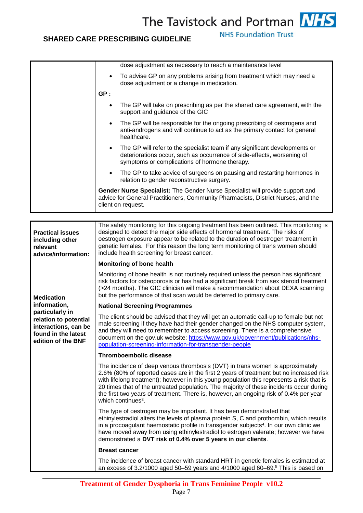**NHS Foundation Trust** 

|                                                                                                               | dose adjustment as necessary to reach a maintenance level                                                                                                                                                                                                                                                                                                                                                                                                                                   |  |
|---------------------------------------------------------------------------------------------------------------|---------------------------------------------------------------------------------------------------------------------------------------------------------------------------------------------------------------------------------------------------------------------------------------------------------------------------------------------------------------------------------------------------------------------------------------------------------------------------------------------|--|
|                                                                                                               |                                                                                                                                                                                                                                                                                                                                                                                                                                                                                             |  |
|                                                                                                               | To advise GP on any problems arising from treatment which may need a<br>$\bullet$<br>dose adjustment or a change in medication.                                                                                                                                                                                                                                                                                                                                                             |  |
|                                                                                                               | GP:                                                                                                                                                                                                                                                                                                                                                                                                                                                                                         |  |
|                                                                                                               | The GP will take on prescribing as per the shared care agreement, with the<br>$\bullet$<br>support and guidance of the GIC                                                                                                                                                                                                                                                                                                                                                                  |  |
|                                                                                                               | The GP will be responsible for the ongoing prescribing of oestrogens and<br>$\bullet$<br>anti-androgens and will continue to act as the primary contact for general<br>healthcare.                                                                                                                                                                                                                                                                                                          |  |
|                                                                                                               | The GP will refer to the specialist team if any significant developments or<br>$\bullet$<br>deteriorations occur, such as occurrence of side-effects, worsening of<br>symptoms or complications of hormone therapy.                                                                                                                                                                                                                                                                         |  |
|                                                                                                               | The GP to take advice of surgeons on pausing and restarting hormones in<br>$\bullet$<br>relation to gender reconstructive surgery.                                                                                                                                                                                                                                                                                                                                                          |  |
|                                                                                                               | Gender Nurse Specialist: The Gender Nurse Specialist will provide support and<br>advice for General Practitioners, Community Pharmacists, District Nurses, and the<br>client on request.                                                                                                                                                                                                                                                                                                    |  |
|                                                                                                               |                                                                                                                                                                                                                                                                                                                                                                                                                                                                                             |  |
| <b>Practical issues</b><br>including other<br>relevant<br>advice/information:                                 | The safety monitoring for this ongoing treatment has been outlined. This monitoring is<br>designed to detect the major side effects of hormonal treatment. The risks of<br>oestrogen exposure appear to be related to the duration of oestrogen treatment in<br>genetic females. For this reason the long term monitoring of trans women should<br>include health screening for breast cancer.                                                                                              |  |
|                                                                                                               | Monitoring of bone health                                                                                                                                                                                                                                                                                                                                                                                                                                                                   |  |
| <b>Medication</b>                                                                                             | Monitoring of bone health is not routinely required unless the person has significant<br>risk factors for osteoporosis or has had a significant break from sex steroid treatment<br>(>24 months). The GIC clinician will make a recommendation about DEXA scanning<br>but the performance of that scan would be deferred to primary care.                                                                                                                                                   |  |
| information,                                                                                                  | <b>National Screening Programmes</b>                                                                                                                                                                                                                                                                                                                                                                                                                                                        |  |
| particularly in<br>relation to potential<br>interactions, can be<br>found in the latest<br>edition of the BNF | The client should be advised that they will get an automatic call-up to female but not<br>male screening if they have had their gender changed on the NHS computer system,<br>and they will need to remember to access screening. There is a comprehensive<br>document on the gov.uk website: https://www.gov.uk/government/publications/nhs-<br>population-screening-information-for-transgender-people                                                                                    |  |
|                                                                                                               | <b>Thromboembolic disease</b>                                                                                                                                                                                                                                                                                                                                                                                                                                                               |  |
|                                                                                                               | The incidence of deep venous thrombosis (DVT) in trans women is approximately<br>2.6% (80% of reported cases are in the first 2 years of treatment but no increased risk<br>with lifelong treatment); however in this young population this represents a risk that is<br>20 times that of the untreated population. The majority of these incidents occur during<br>the first two years of treatment. There is, however, an ongoing risk of 0.4% per year<br>which continues <sup>3</sup> . |  |
|                                                                                                               | The type of oestrogen may be important. It has been demonstrated that<br>ethinylestradiol alters the levels of plasma protein S, C and prothombin, which results<br>in a procoagulant haemostatic profile in transgender subjects <sup>4</sup> . In our own clinic we<br>have moved away from using ethinylestradiol to estrogen valerate; however we have<br>demonstrated a DVT risk of 0.4% over 5 years in our clients.                                                                  |  |
|                                                                                                               | <b>Breast cancer</b>                                                                                                                                                                                                                                                                                                                                                                                                                                                                        |  |
|                                                                                                               | The incidence of breast cancer with standard HRT in genetic females is estimated at<br>an excess of $3.2/1000$ aged 50-59 years and $4/1000$ aged 60-69. <sup>5</sup> This is based on                                                                                                                                                                                                                                                                                                      |  |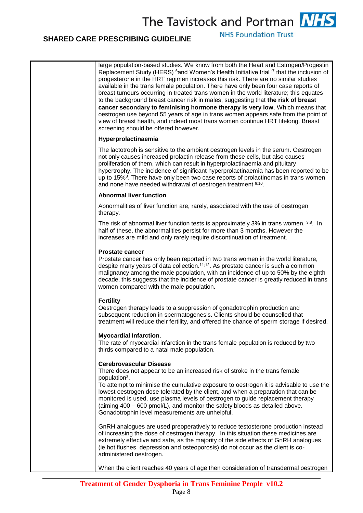**NHS Foundation Trust** 

### **SHARED CARE PRESCRIBING GUIDELINE**

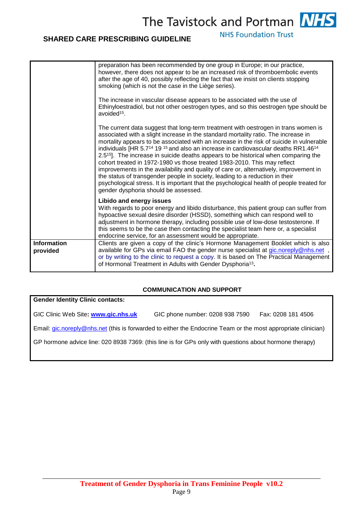### **SHARED CARE PRESCRIBING GUIDELINE**

**NHS Foundation Trust** 

|                                | preparation has been recommended by one group in Europe; in our practice,<br>however, there does not appear to be an increased risk of thromboembolic events<br>after the age of 40, possibly reflecting the fact that we insist on clients stopping<br>smoking (which is not the case in the Liège series).<br>The increase in vascular disease appears to be associated with the use of<br>Ethinyloestradiol, but not other oestrogen types, and so this oestrogen type should be<br>avoided <sup>15</sup> .                                                                                                                                                                                                                                                                                                                                                                             |
|--------------------------------|--------------------------------------------------------------------------------------------------------------------------------------------------------------------------------------------------------------------------------------------------------------------------------------------------------------------------------------------------------------------------------------------------------------------------------------------------------------------------------------------------------------------------------------------------------------------------------------------------------------------------------------------------------------------------------------------------------------------------------------------------------------------------------------------------------------------------------------------------------------------------------------------|
|                                | The current data suggest that long-term treatment with oestrogen in trans women is<br>associated with a slight increase in the standard mortality ratio. The increase in<br>mortality appears to be associated with an increase in the risk of suicide in vulnerable<br>individuals [HR 5.7 <sup>14</sup> 19 <sup>15</sup> and also an increase in cardiovascular deaths RR1.46 <sup>14</sup><br>2.5 <sup>15</sup> . The increase in suicide deaths appears to be historical when comparing the<br>cohort treated in 1972-1980 vs those treated 1983-2010. This may reflect<br>improvements in the availability and quality of care or, alternatively, improvement in<br>the status of transgender people in society, leading to a reduction in their<br>psychological stress. It is important that the psychological health of people treated for<br>gender dysphoria should be assessed. |
|                                | Libido and energy issues<br>With regards to poor energy and libido disturbance, this patient group can suffer from<br>hypoactive sexual desire disorder (HSSD), something which can respond well to<br>adjustment in hormone therapy, including possible use of low-dose testosterone. If<br>this seems to be the case then contacting the specialist team here or, a specialist<br>endocrine service, for an assessment would be appropriate.                                                                                                                                                                                                                                                                                                                                                                                                                                             |
| <b>Information</b><br>provided | Clients are given a copy of the clinic's Hormone Management Booklet which is also<br>available for GPs via email FAO the gender nurse specialist at gic.noreply@nhs.net,<br>or by writing to the clinic to request a copy. It is based on The Practical Management<br>of Hormonal Treatment in Adults with Gender Dysphoria <sup>13</sup> .                                                                                                                                                                                                                                                                                                                                                                                                                                                                                                                                                |

#### **COMMUNICATION AND SUPPORT**

**Gender Identity Clinic contacts:** 

GIC Clinic Web Site**: [www.gic.nhs.uk](http://www.gic.nhs.uk/)** GIC phone number: 0208 938 7590 Fax: 0208 181 4506

Email: [gic.noreply@nhs.net](mailto:gic.noreply@nhs.net) (this is forwarded to either the Endocrine Team or the most appropriate clinician)

GP hormone advice line: 020 8938 7369: (this line is for GPs only with questions about hormone therapy)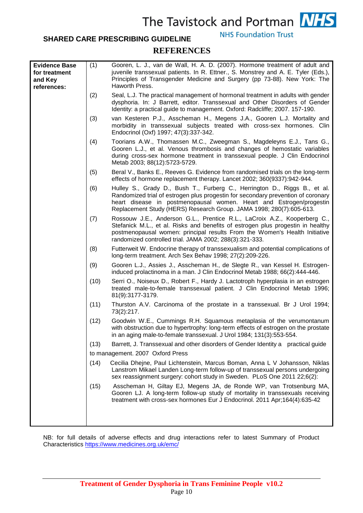#### **SHARED CARE PRESCRIBING GUIDELINE**

**NHS Foundation Trust** 

#### **REFERENCES**

| <b>Evidence Base</b><br>for treatment<br>and Key<br>references: | (1)  | Gooren, L. J., van de Wall, H. A. D. (2007). Hormone treatment of adult and<br>juvenile transsexual patients. In R. Ettner., S. Monstrey and A. E. Tyler (Eds.),<br>Principles of Transgender Medicine and Surgery (pp 73-88). New York: The<br>Haworth Press.                                              |
|-----------------------------------------------------------------|------|-------------------------------------------------------------------------------------------------------------------------------------------------------------------------------------------------------------------------------------------------------------------------------------------------------------|
|                                                                 | (2)  | Seal, L.J. The practical management of hormonal treatment in adults with gender<br>dysphoria. In: J Barrett, editor. Transsexual and Other Disorders of Gender<br>Identity: a practical guide to management. Oxford: Radcliffe; 2007. 157-190.                                                              |
|                                                                 | (3)  | van Kesteren P.J., Asscheman H., Megens J.A., Gooren L.J. Mortality and<br>morbidity in transsexual subjects treated with cross-sex hormones. Clin<br>Endocrinol (Oxf) 1997; 47(3):337-342.                                                                                                                 |
|                                                                 | (4)  | Toorians A.W., Thomassen M.C., Zweegman S., Magdeleyns E.J., Tans G.,<br>Gooren L.J., et al. Venous thrombosis and changes of hemostatic variables<br>during cross-sex hormone treatment in transsexual people. J Clin Endocrinol<br>Metab 2003; 88(12):5723-5729.                                          |
|                                                                 | (5)  | Beral V., Banks E., Reeves G. Evidence from randomised trials on the long-term<br>effects of hormone replacement therapy. Lancet 2002; 360(9337):942-944.                                                                                                                                                   |
|                                                                 | (6)  | Hulley S., Grady D., Bush T., Furberg C., Herrington D., Riggs B., et al.<br>Randomized trial of estrogen plus progestin for secondary prevention of coronary<br>heart disease in postmenopausal women. Heart and Estrogen/progestin<br>Replacement Study (HERS) Research Group. JAMA 1998; 280(7):605-613. |
|                                                                 | (7)  | Rossouw J.E., Anderson G.L., Prentice R.L., LaCroix A.Z., Kooperberg C.,<br>Stefanick M.L., et al. Risks and benefits of estrogen plus progestin in healthy<br>postmenopausal women: principal results From the Women's Health Initiative<br>randomized controlled trial. JAMA 2002; 288(3):321-333.        |
|                                                                 | (8)  | Futterweit W. Endocrine therapy of transsexualism and potential complications of<br>long-term treatment. Arch Sex Behav 1998; 27(2):209-226.                                                                                                                                                                |
|                                                                 | (9)  | Gooren L.J., Assies J., Asscheman H., de Slegte R., van Kessel H. Estrogen-<br>induced prolactinoma in a man. J Clin Endocrinol Metab 1988; 66(2):444-446.                                                                                                                                                  |
|                                                                 | (10) | Serri O., Noiseux D., Robert F., Hardy J. Lactotroph hyperplasia in an estrogen<br>treated male-to-female transsexual patient. J Clin Endocrinol Metab 1996;<br>81(9):3177-3179.                                                                                                                            |
|                                                                 | (11) | Thurston A.V. Carcinoma of the prostate in a transsexual. Br J Urol 1994;<br>73(2):217.                                                                                                                                                                                                                     |
|                                                                 | (12) | Goodwin W.E., Cummings R.H. Squamous metaplasia of the verumontanum<br>with obstruction due to hypertrophy: long-term effects of estrogen on the prostate<br>in an aging male-to-female transsexual. J Urol 1984; 131(3):553-554.                                                                           |
|                                                                 | (13) | Barrett, J. Transsexual and other disorders of Gender Identity a practical guide                                                                                                                                                                                                                            |
|                                                                 |      | to management. 2007 Oxford Press                                                                                                                                                                                                                                                                            |
|                                                                 | (14) | Cecilia Dhejne, Paul Lichtenstein, Marcus Boman, Anna L V Johansson, Niklas<br>Lanstrom Mikael Landen Long-term follow-up of transsexual persons undergoing<br>sex reassignment surgery: cohort study in Sweden. PLoS One 2011 22;6(2):                                                                     |
|                                                                 | (15) | Asscheman H, Giltay EJ, Megens JA, de Ronde WP, van Trotsenburg MA,<br>Gooren LJ. A long-term follow-up study of mortality in transsexuals receiving<br>treatment with cross-sex hormones Eur J Endocrinol. 2011 Apr;164(4):635-42                                                                          |
|                                                                 |      |                                                                                                                                                                                                                                                                                                             |

NB: for full details of adverse effects and drug interactions refer to latest Summary of Product Characteristics<https://www.medicines.org.uk/emc/>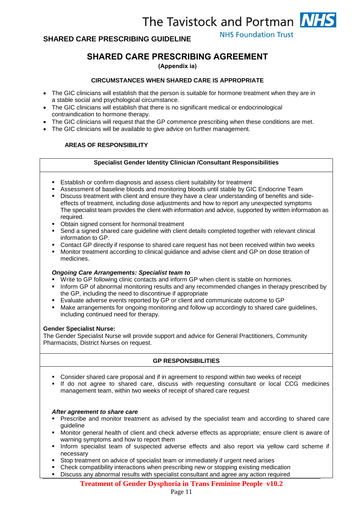**NHS Foundation Trust** 

## **SHARED CARE PRESCRIBING AGREEMENT**

**(Appendix ia)** 

#### **CIRCUMSTANCES WHEN SHARED CARE IS APPROPRIATE**

- The GIC clinicians will establish that the person is suitable for hormone treatment when they are in a stable social and psychological circumstance.
- The GIC clinicians will establish that there is no significant medical or endocrinological contraindication to hormone therapy.
- The GIC clinicians will request that the GP commence prescribing when these conditions are met.
- The GIC clinicians will be available to give advice on further management.

#### **AREAS OF RESPONSIBILITY**

#### **Specialist Gender Identity Clinician /Consultant Responsibilities**

- Establish or confirm diagnosis and assess client suitability for treatment
- Assessment of baseline bloods and monitoring bloods until stable by GIC Endocrine Team
- **Discuss treatment with client and ensure they have a clear understanding of benefits and side**effects of treatment, including dose adjustments and how to report any unexpected symptoms The specialist team provides the client with information and advice, supported by written information as required.
- Obtain signed consent for hormonal treatment
- Send a signed shared care guideline with client details completed together with relevant clinical information to GP.
- Contact GP directly if response to shared care request has not been received within two weeks
- Monitor treatment according to clinical guidance and advise client and GP on dose titration of medicines.

#### *Ongoing Care Arrangements: Specialist team to*

- Write to GP following clinic contacts and inform GP when client is stable on hormones.
- **Inform GP of abnormal monitoring results and any recommended changes in therapy prescribed by** the GP, including the need to discontinue if appropriate
- Evaluate adverse events reported by GP or client and communicate outcome to GP
- **Make arrangements for ongoing monitoring and follow up accordingly to shared care guidelines,** including continued need for therapy.

#### **Gender Specialist Nurse:**

The Gender Specialist Nurse will provide support and advice for General Practitioners, Community Pharmacists, District Nurses on request.

#### **GP RESPONSIBILITIES**

- Consider shared care proposal and if in agreement to respond within two weeks of receipt
- If do not agree to shared care, discuss with requesting consultant or local CCG medicines management team, within two weeks of receipt of shared care request

#### *After agreement to share care*

- Prescribe and monitor treatment as advised by the specialist team and according to shared care guideline
- Monitor general health of client and check adverse effects as appropriate; ensure client is aware of warning symptoms and how to report them
- **Inform specialist team of suspected adverse effects and also report via yellow card scheme if** necessary
- Stop treatment on advice of specialist team or immediately if urgent need arises
- Check compatibility interactions when prescribing new or stopping existing medication
- Discuss any abnormal results with specialist consultant and agree any action required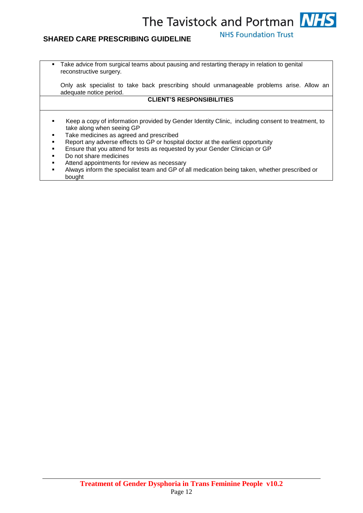## **SHARED CARE PRESCRIBING GUIDELINE**

**NHS Foundation Trust** 

 Take advice from surgical teams about pausing and restarting therapy in relation to genital reconstructive surgery.

Only ask specialist to take back prescribing should unmanageable problems arise. Allow an adequate notice period.

#### **CLIENT'S RESPONSIBILITIES**

- Keep a copy of information provided by Gender Identity Clinic, including consent to treatment, to take along when seeing GP
- Take medicines as agreed and prescribed
- Report any adverse effects to GP or hospital doctor at the earliest opportunity
- Ensure that you attend for tests as requested by your Gender Clinician or GP
- Do not share medicines
- Attend appointments for review as necessary
- Always inform the specialist team and GP of all medication being taken, whether prescribed or bought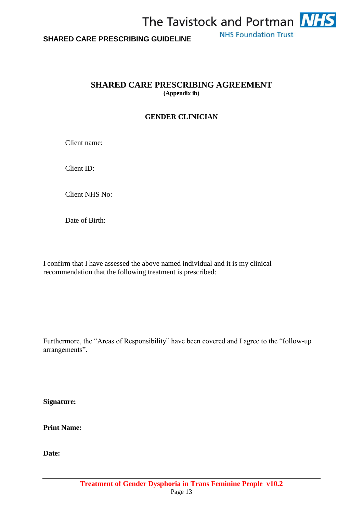

### **SHARED CARE PRESCRIBING AGREEMENT (Appendix ib)**

## **GENDER CLINICIAN**

Client name:

Client ID:

Client NHS No:

Date of Birth:

I confirm that I have assessed the above named individual and it is my clinical recommendation that the following treatment is prescribed:

Furthermore, the "Areas of Responsibility" have been covered and I agree to the "follow-up arrangements".

**Signature:**

**Print Name:**

**Date:**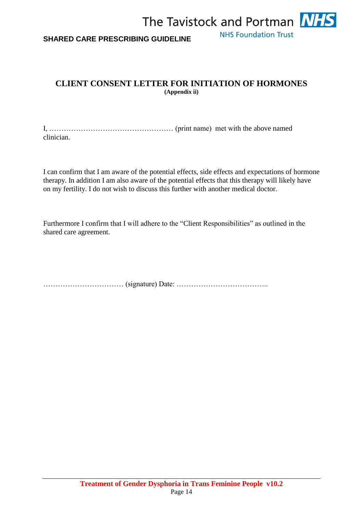

## **CLIENT CONSENT LETTER FOR INITIATION OF HORMONES (Appendix ii)**

I, …………………………………………… (print name) met with the above named clinician.

I can confirm that I am aware of the potential effects, side effects and expectations of hormone therapy. In addition I am also aware of the potential effects that this therapy will likely have on my fertility. I do not wish to discuss this further with another medical doctor.

Furthermore I confirm that I will adhere to the "Client Responsibilities" as outlined in the shared care agreement.

…………………………… (signature) Date: ………………………………..